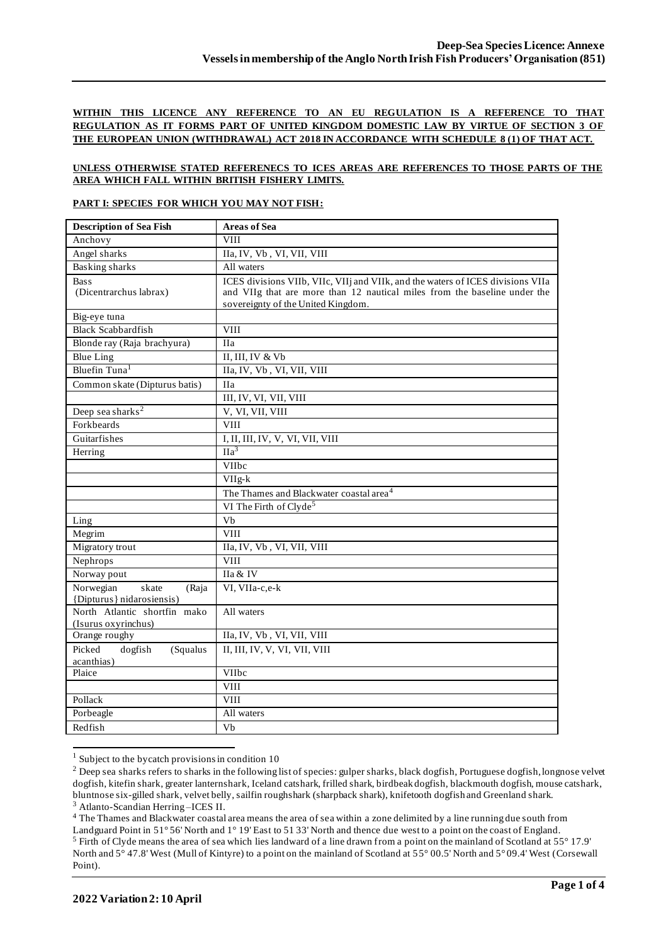## **WITHIN THIS LICENCE ANY REFERENCE TO AN EU REGULATION IS A REFERENCE TO THAT REGULATION AS IT FORMS PART OF UNITED KINGDOM DOMESTIC LAW BY VIRTUE OF SECTION 3 OF THE EUROPEAN UNION (WITHDRAWAL) ACT 2018 IN ACCORDANCE WITH SCHEDULE 8 (1) OF THAT ACT.**

### **UNLESS OTHERWISE STATED REFERENECS TO ICES AREAS ARE REFERENCES TO THOSE PARTS OF THE AREA WHICH FALL WITHIN BRITISH FISHERY LIMITS.**

#### **PART I: SPECIES FOR WHICH YOU MAY NOT FISH:**

| <b>Description of Sea Fish</b>                           | <b>Areas of Sea</b>                                                                                                                                                                                |
|----------------------------------------------------------|----------------------------------------------------------------------------------------------------------------------------------------------------------------------------------------------------|
| Anchovy                                                  | <b>VIII</b>                                                                                                                                                                                        |
| Angel sharks                                             | IIa, IV, Vb, VI, VII, VIII                                                                                                                                                                         |
| <b>Basking sharks</b>                                    | All waters                                                                                                                                                                                         |
| <b>Bass</b><br>(Dicentrarchus labrax)                    | ICES divisions VIIb, VIIc, VIIj and VIIk, and the waters of ICES divisions VIIa<br>and VIIg that are more than 12 nautical miles from the baseline under the<br>sovereignty of the United Kingdom. |
| Big-eye tuna                                             |                                                                                                                                                                                                    |
| <b>Black Scabbardfish</b>                                | <b>VIII</b>                                                                                                                                                                                        |
| Blonde ray (Raja brachyura)                              | <b>IIa</b>                                                                                                                                                                                         |
| <b>Blue Ling</b>                                         | II, III, IV & Vb                                                                                                                                                                                   |
| Bluefin Tuna <sup>1</sup>                                | IIa, IV, Vb, VI, VII, VIII                                                                                                                                                                         |
| Common skate (Dipturus batis)                            | <b>IIa</b>                                                                                                                                                                                         |
|                                                          | III, IV, VI, VII, VIII                                                                                                                                                                             |
| Deep sea sharks <sup>2</sup>                             | V, VI, VII, VIII                                                                                                                                                                                   |
| Forkbeards                                               | <b>VIII</b>                                                                                                                                                                                        |
| Guitarfishes                                             | I, II, III, IV, V, VI, VII, VIII                                                                                                                                                                   |
| Herring                                                  | I1a <sup>3</sup>                                                                                                                                                                                   |
|                                                          | VIIbc                                                                                                                                                                                              |
|                                                          | $\overline{\text{VII}}$ g-k                                                                                                                                                                        |
|                                                          | The Thames and Blackwater coastal area <sup>4</sup>                                                                                                                                                |
|                                                          | VI The Firth of Clyde <sup>5</sup>                                                                                                                                                                 |
| Ling                                                     | Vb                                                                                                                                                                                                 |
| Megrim                                                   | <b>VIII</b>                                                                                                                                                                                        |
| Migratory trout                                          | IIa, IV, Vb, VI, VII, VIII                                                                                                                                                                         |
| Nephrops                                                 | <b>VIII</b>                                                                                                                                                                                        |
| Norway pout                                              | IIa & IV                                                                                                                                                                                           |
| Norwegian<br>skate<br>(Raja<br>{Dipturus} nidarosiensis) | VI, VIIa-c,e-k                                                                                                                                                                                     |
| North Atlantic shortfin mako<br>(Isurus oxyrinchus)      | All waters                                                                                                                                                                                         |
| Orange roughy                                            | IIa, IV, Vb, VI, VII, VIII                                                                                                                                                                         |
| Picked<br>dogfish<br>(Squalus<br>acanthias)              | II, III, IV, V, VI, VII, VIII                                                                                                                                                                      |
| Plaice                                                   | <b>VIIbc</b>                                                                                                                                                                                       |
|                                                          | <b>VIII</b>                                                                                                                                                                                        |
| Pollack                                                  | <b>VIII</b>                                                                                                                                                                                        |
| Porbeagle                                                | All waters                                                                                                                                                                                         |
| Redfish                                                  | Vb                                                                                                                                                                                                 |

 $1$  Subject to the bycatch provisions in condition 10

<sup>4</sup> The Thames and Blackwater coastal area means the area of sea within a zone delimited by a line running due south from Landguard Point in 51° 56' North and 1° 19' East to 51 33' North and thence due west to a point on the coast of England.

<sup>&</sup>lt;sup>2</sup> Deep sea sharks refers to sharks in the following list of species: gulper sharks, black dogfish, Portuguese dogfish, longnose velvet dogfish, kitefin shark, greater lanternshark, Iceland catshark, frilled shark, birdbeak dogfish, blackmouth dogfish, mouse catshark, bluntnose six-gilled shark, velvet belly, sailfin roughshark (sharpback shark), knifetooth dogfish and Greenland shark. <sup>3</sup> Atlanto-Scandian Herring –ICES II.

<sup>5</sup> Firth of Clyde means the area of sea which lies landward of a line drawn from a point on the mainland of Scotland at 55° 17.9' North and 5° 47.8' West (Mull of Kintyre) to a point on the mainland of Scotland at 55° 00.5' North and 5° 09.4' West (Corsewall Point).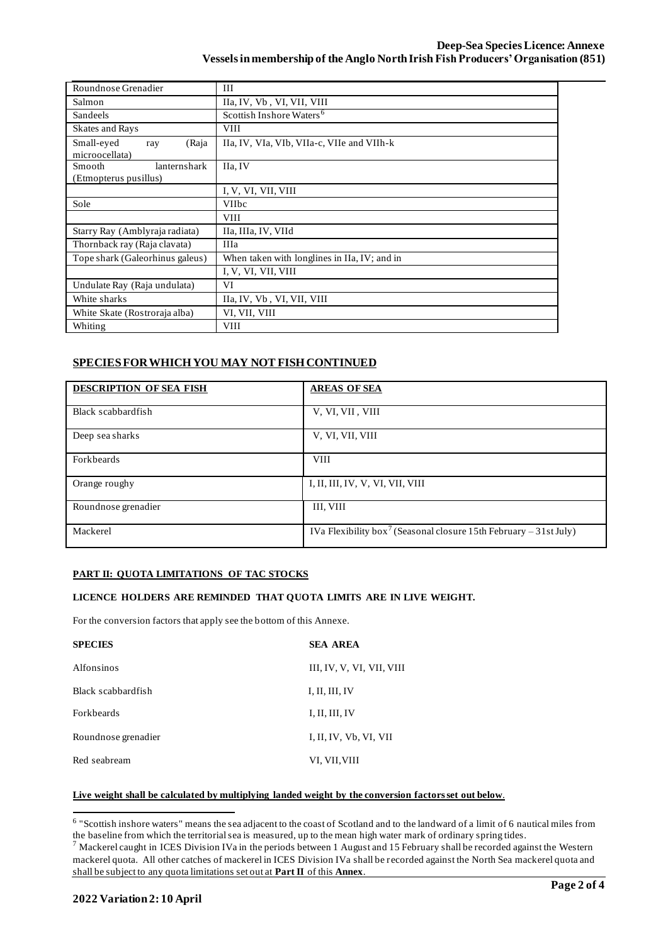| Roundnose Grenadier                                    | III                                          |  |  |  |  |
|--------------------------------------------------------|----------------------------------------------|--|--|--|--|
| Salmon                                                 | IIa, IV, Vb, VI, VII, VIII                   |  |  |  |  |
| <b>Sandeels</b>                                        | Scottish Inshore Waters <sup>6</sup>         |  |  |  |  |
| <b>Skates and Rays</b>                                 | <b>VIII</b>                                  |  |  |  |  |
| Small-eyed<br>(Raja<br>ray<br>microocellata)           | IIa, IV, VIa, VIb, VIIa-c, VIIe and VIIh-k   |  |  |  |  |
| lanternshark<br><b>Smooth</b><br>(Etmopterus pusillus) | IIa, IV                                      |  |  |  |  |
|                                                        | I, V, VI, VII, VIII                          |  |  |  |  |
| Sole                                                   | <b>VIIbc</b>                                 |  |  |  |  |
|                                                        | <b>VIII</b>                                  |  |  |  |  |
| Starry Ray (Amblyraja radiata)                         | IIa, IIIa, IV, VIId                          |  |  |  |  |
| Thornback ray (Raja clavata)                           | <b>IIIa</b>                                  |  |  |  |  |
| Tope shark (Galeorhinus galeus)                        | When taken with longlines in IIa, IV; and in |  |  |  |  |
|                                                        | I, V, VI, VII, VIII                          |  |  |  |  |
| Undulate Ray (Raja undulata)                           | VI                                           |  |  |  |  |
| White sharks                                           | IIa, IV, Vb, VI, VII, VIII                   |  |  |  |  |
| White Skate (Rostroraja alba)                          | VI, VII, VIII                                |  |  |  |  |
| Whiting                                                | <b>VIII</b>                                  |  |  |  |  |

# **SPECIES FOR WHICH YOU MAY NOT FISH CONTINUED**

| <b>DESCRIPTION OF SEA FISH</b> | <b>AREAS OF SEA</b>                                                           |
|--------------------------------|-------------------------------------------------------------------------------|
| Black scabbardfish             | V. VI, VII, VIII                                                              |
| Deep sea sharks                | V, VI, VII, VIII                                                              |
| Forkbeards                     | <b>VIII</b>                                                                   |
| Orange roughy                  | I, II, III, IV, V, VI, VII, VIII                                              |
| Roundnose grenadier            | III, VIII                                                                     |
| Mackerel                       | IVa Flexibility box <sup>7</sup> (Seasonal closure 15th February – 31st July) |

# **PART II: QUOTA LIMITATIONS OF TAC STOCKS**

## **LICENCE HOLDERS ARE REMINDED THAT QUOTA LIMITS ARE IN LIVE WEIGHT.**

For the conversion factors that apply see the bottom of this Annexe.

| <b>SPECIES</b>      | <b>SEA AREA</b>           |
|---------------------|---------------------------|
| <b>Alfonsinos</b>   | III, IV, V, VI, VII, VIII |
| Black scabbardfish  | I, II, III, IV            |
| <b>Forkheards</b>   | I, II, III, IV            |
| Roundnose grenadier | I, II, IV, Vb, VI, VII    |
| Red seabream        | VI, VII, VIII             |

### **Live weight shall be calculated by multiplying landed weight by the conversion factors set out below**.

<sup>&</sup>lt;sup>6</sup> "Scottish inshore waters" means the sea adjacent to the coast of Scotland and to the landward of a limit of 6 nautical miles from the baseline from which the territorial sea is measured, up to the mean high water mark of ordinary spring tides.

 $^7$  Mackerel caught in ICES Division IVa in the periods between 1 August and 15 February shall be recorded against the Western mackerel quota. All other catches of mackerel in ICES Division IVa shall be recorded against the North Sea mackerel quota and shall be subject to any quota limitations set out at **Part II** of this **Annex**.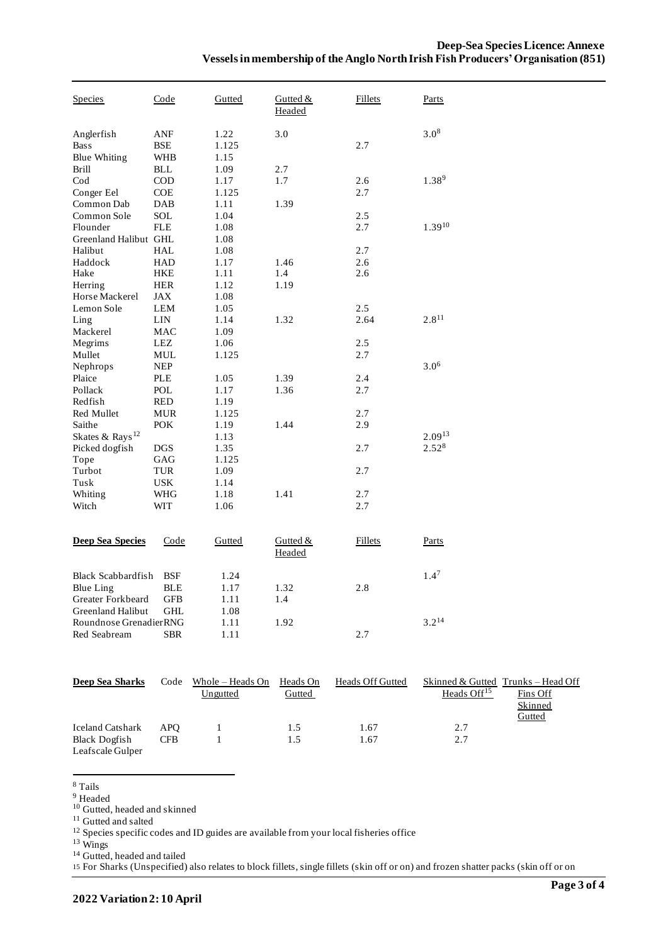| Species                                          | Code                     | Gutted                | Gutted &<br>Headed | <b>Fillets</b> | Parts       |
|--------------------------------------------------|--------------------------|-----------------------|--------------------|----------------|-------------|
| Anglerfish<br><b>Bass</b><br><b>Blue Whiting</b> | ANF<br>BSE<br><b>WHB</b> | 1.22<br>1.125<br>1.15 | 3.0                | 2.7            | $3.0^{8}$   |
| <b>Brill</b>                                     | <b>BLL</b>               | 1.09                  | 2.7                |                |             |
| Cod                                              | <b>COD</b>               | 1.17                  | 1.7                | 2.6            | $1.38^{9}$  |
| Conger Eel                                       | COE                      | 1.125                 |                    | 2.7            |             |
| Common Dab                                       | DAB                      | 1.11                  | 1.39               |                |             |
| Common Sole                                      | SOL                      | 1.04                  |                    | 2.5            |             |
| Flounder                                         | FLE                      | 1.08                  |                    | 2.7            | $1.39^{10}$ |
| Greenland Halibut GHL                            |                          | 1.08                  |                    |                |             |
| Halibut                                          | HAL                      | 1.08                  |                    | 2.7            |             |
| Haddock                                          | HAD                      | 1.17                  | 1.46               | 2.6            |             |
| Hake                                             | HKE                      | 1.11                  | 1.4                | 2.6            |             |
| Herring                                          | <b>HER</b>               | 1.12                  | 1.19               |                |             |
| Horse Mackerel<br>Lemon Sole                     | JAX<br>LEM               | 1.08<br>1.05          |                    | 2.5            |             |
| Ling                                             | <b>LIN</b>               | 1.14                  | 1.32               | 2.64           | $2.8^{11}$  |
| Mackerel                                         | <b>MAC</b>               | 1.09                  |                    |                |             |
| Megrims                                          | LEZ                      | 1.06                  |                    | 2.5            |             |
| Mullet                                           | MUL                      | 1.125                 |                    | 2.7            |             |
| Nephrops                                         | <b>NEP</b>               |                       |                    |                | $3.0^{6}$   |
| Plaice                                           | PLE                      | 1.05                  | 1.39               | 2.4            |             |
| Pollack                                          | <b>POL</b>               | 1.17                  | 1.36               | 2.7            |             |
| Redfish                                          | RED                      | 1.19                  |                    |                |             |
| Red Mullet                                       | <b>MUR</b>               | 1.125                 |                    | 2.7            |             |
| Saithe                                           | <b>POK</b>               | 1.19                  | 1.44               | 2.9            |             |
| Skates & Rays <sup>12</sup>                      |                          | 1.13                  |                    |                | $2.09^{13}$ |
| Picked dogfish                                   | <b>DGS</b>               | 1.35                  |                    | 2.7            | $2.52^{8}$  |
| Tope                                             | GAG                      | 1.125                 |                    |                |             |
| Turbot                                           | TUR                      | 1.09                  |                    | 2.7            |             |
| Tusk                                             | USK                      | 1.14                  |                    |                |             |
| Whiting                                          | WHG                      | 1.18                  | 1.41               | 2.7            |             |
| Witch                                            | WIT                      | 1.06                  |                    | 2.7            |             |
| <b>Deep Sea Species</b>                          | Code                     | Gutted                | Gutted &<br>Headed | <b>Fillets</b> | Parts       |
| <b>Black Scabbardfish</b>                        | <b>BSF</b>               | 1.24                  |                    |                | $1.4^7$     |
| Blue Ling                                        | <b>BLE</b>               | 1.17                  | 1.32               | 2.8            |             |
| Greater Forkbeard                                | <b>GFB</b>               | 1.11                  | 1.4                |                |             |
| Greenland Halibut                                | <b>GHL</b>               | 1.08                  |                    |                |             |
| Roundnose GrenadierRNG                           |                          | 1.11                  | 1.92               |                | $3.2^{14}$  |
| Red Seabream                                     | <b>SBR</b>               | 1.11                  |                    | 2.7            |             |
|                                                  |                          |                       |                    |                |             |

| Deep Sea Sharks         | Code       | Whole – Heads On | Heads On | Heads Off Gutted |                         | Skinned & Gutted Trunks – Head Off |
|-------------------------|------------|------------------|----------|------------------|-------------------------|------------------------------------|
|                         |            | Ungutted         | Gutted   |                  | Heads Off <sup>15</sup> | Fins Off                           |
|                         |            |                  |          |                  |                         | Skinned                            |
|                         |            |                  |          |                  |                         | Gutted                             |
| <b>Iceland Catshark</b> | <b>APO</b> |                  | 1.5      | 1.67             | 2.7                     |                                    |
| <b>Black Dogfish</b>    | <b>CFB</b> |                  | 1.5      | 1.67             | 2.7                     |                                    |
| Leafscale Gulper        |            |                  |          |                  |                         |                                    |

<sup>8</sup> Tails

<sup>9</sup> Headed

<sup>10</sup> Gutted, headed and skinned

<sup>11</sup> Gutted and salted

<sup>12</sup> Species specific codes and ID guides are available from your local fisheries office

<sup>13</sup> Wings

<sup>14</sup> Gutted, headed and tailed

15 For Sharks (Unspecified) also relates to block fillets, single fillets (skin off or on) and frozen shatter packs (skin off or on